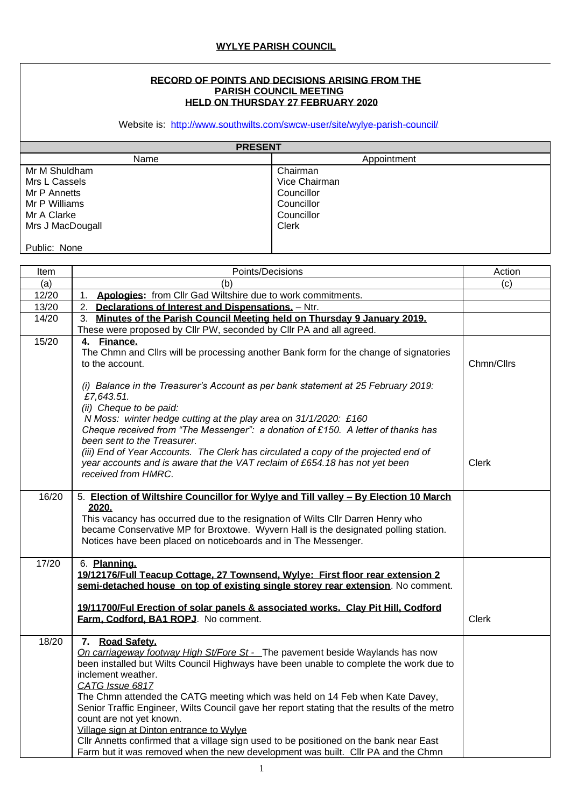## **RECORD OF POINTS AND DECISIONS ARISING FROM THE PARISH COUNCIL MEETING HELD ON THURSDAY 27 FEBRUARY 2020**

Website is: <http://www.southwilts.com/swcw-user/site/wylye-parish-council/>

| <b>PRESENT</b>   |               |  |  |
|------------------|---------------|--|--|
| Name             | Appointment   |  |  |
| Mr M Shuldham    | Chairman      |  |  |
| Mrs L Cassels    | Vice Chairman |  |  |
| Mr P Annetts     | Councillor    |  |  |
| Mr P Williams    | Councillor    |  |  |
| Mr A Clarke      | Councillor    |  |  |
| Mrs J MacDougall | <b>Clerk</b>  |  |  |
|                  |               |  |  |
| Public: None     |               |  |  |

| Item  | Points/Decisions                                                                                                                                                                                                                                                                                                                                                                                                                                                                                                                                                                                                                                                          | Action       |
|-------|---------------------------------------------------------------------------------------------------------------------------------------------------------------------------------------------------------------------------------------------------------------------------------------------------------------------------------------------------------------------------------------------------------------------------------------------------------------------------------------------------------------------------------------------------------------------------------------------------------------------------------------------------------------------------|--------------|
| (a)   | (b)                                                                                                                                                                                                                                                                                                                                                                                                                                                                                                                                                                                                                                                                       | (c)          |
| 12/20 | Apologies: from Cllr Gad Wiltshire due to work commitments.<br>1.                                                                                                                                                                                                                                                                                                                                                                                                                                                                                                                                                                                                         |              |
| 13/20 | 2. Declarations of Interest and Dispensations. - Ntr.                                                                                                                                                                                                                                                                                                                                                                                                                                                                                                                                                                                                                     |              |
| 14/20 | 3. Minutes of the Parish Council Meeting held on Thursday 9 January 2019.                                                                                                                                                                                                                                                                                                                                                                                                                                                                                                                                                                                                 |              |
|       | These were proposed by Cllr PW, seconded by Cllr PA and all agreed.                                                                                                                                                                                                                                                                                                                                                                                                                                                                                                                                                                                                       |              |
| 15/20 | 4. Finance.<br>The Chmn and Cllrs will be processing another Bank form for the change of signatories<br>to the account.                                                                                                                                                                                                                                                                                                                                                                                                                                                                                                                                                   | Chmn/Cllrs   |
|       | (i) Balance in the Treasurer's Account as per bank statement at 25 February 2019:<br>£7,643.51.<br>(ii) Cheque to be paid:<br>N Moss: winter hedge cutting at the play area on 31/1/2020: £160<br>Cheque received from "The Messenger": a donation of £150. A letter of thanks has<br>been sent to the Treasurer.<br>(iii) End of Year Accounts. The Clerk has circulated a copy of the projected end of<br>year accounts and is aware that the VAT reclaim of £654.18 has not yet been<br>received from HMRC.                                                                                                                                                            | <b>Clerk</b> |
| 16/20 | 5. Election of Wiltshire Councillor for Wylye and Till valley - By Election 10 March<br>2020.<br>This vacancy has occurred due to the resignation of Wilts CIIr Darren Henry who<br>became Conservative MP for Broxtowe. Wyvern Hall is the designated polling station.<br>Notices have been placed on noticeboards and in The Messenger.                                                                                                                                                                                                                                                                                                                                 |              |
| 17/20 | 6. Planning.<br>19/12176/Full Teacup Cottage, 27 Townsend, Wylye: First floor rear extension 2<br>semi-detached house on top of existing single storey rear extension. No comment.<br>19/11700/Ful Erection of solar panels & associated works. Clay Pit Hill, Codford<br>Farm, Codford, BA1 ROPJ. No comment.                                                                                                                                                                                                                                                                                                                                                            | <b>Clerk</b> |
| 18/20 | 7. Road Safety.<br>On carriageway footway High St/Fore St - The pavement beside Waylands has now<br>been installed but Wilts Council Highways have been unable to complete the work due to<br>inclement weather.<br>CATG Issue 6817<br>The Chmn attended the CATG meeting which was held on 14 Feb when Kate Davey,<br>Senior Traffic Engineer, Wilts Council gave her report stating that the results of the metro<br>count are not yet known.<br>Village sign at Dinton entrance to Wylye<br>CIIr Annetts confirmed that a village sign used to be positioned on the bank near East<br>Farm but it was removed when the new development was built. Cllr PA and the Chmn |              |